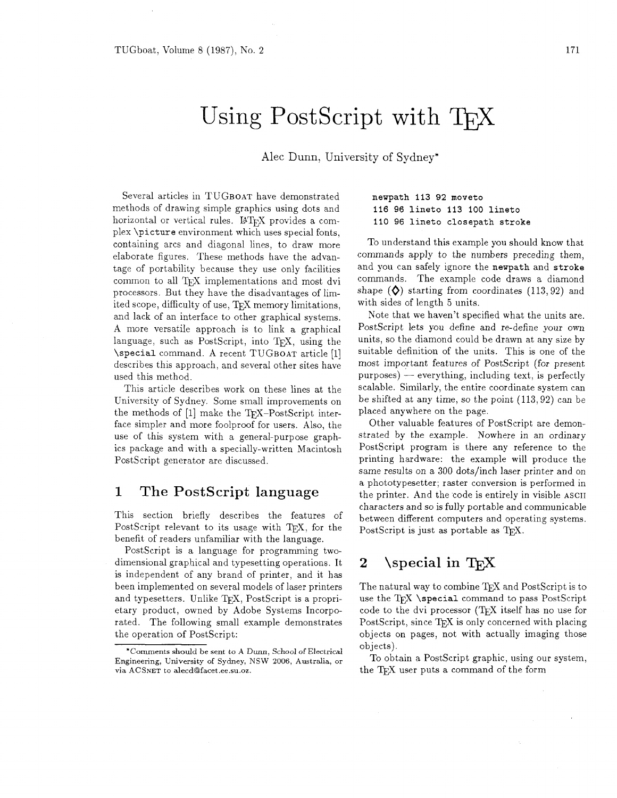# Using PostScript with TFX

**Alec** Dunn, University of Sydney\*

Several articles in TUGBOAT have demonstrated methods of drawing simple graphics using dots and horizontal or vertical rules. IATEX provides a complex \picture environment which uses special fonts, containing arcs and diagonal lines, to draw more elaborate figures. These methods have the advantage of portability because they use only facilities common to all TFX implementations and most dvi processors. But they have the disadvantages of limited scope, difficulty of use, TFX memory limitations, and lack of an interface to other graphical systems. A more versatile approach is to link a graphical language, such as PostScript, into TFX, using the \special command. A recent TUGBOAT article [I] describes this approach, and several other sites have used this method.

This article describes work on these lines at the University of Sydney. Some small improvements on the methods of [1] make the TFX-PostScript interface simpler and more foolproof for users. Also, the use of this system with a general-purpose graphics package and with a specially-written Macintosh PostScript generator are discussed.

# 1 The PostScript language

This section briefly describes the features of PostScript relevant to its usage with TFX, for the benefit of readers unfamiliar with the language.

PostScript is a language for programming twodimensional graphical and typesetting operations. It is independent of any brand of printer, and it has been implemented on several models of laser printers and typesetters. Unlike TFX, PostScript is a proprietary product, owned by Adobe Systems Incorporated. The following small example demonstrates the operation of PostScript:

## newpath 113 92 moveto 116 96 lineto 113 100 lineto 110 **96** lineto closepath stroke

To understand this example you should know that commands apply to the numbers preceding them, and you can safely ignore the newpath and stroke commands. The example code draws a diamond shape  $(\Diamond)$  starting from coordinates  $(113,92)$  and with sides of length 5 units.

Note that we haven't specified what the units are. PostScript lets you define and re-define your own units, so the diamond could be drawn at any size by suitable definition of the units. This is one of the most important features of PostScript (for present suitable definition of the units. This is one of the<br>most important features of PostScript (for present<br>purposes) — everything, including text, is perfectly scalable. Similarly, the entire coordinate system can be shifted at any time, so the point (113,92) can be placed anywhere on the page.

Other valuable features of PostScript are demonstrated by the example. Nowhere in an ordinary PostScript program is there any reference to the printing hardware: the example will produce the same results on a 300 dots/inch laser printer and on a phototypesetter; raster conversion is performed in the printer. And the code is entirely in visible ASCII characters and so is fully portable and communicable between different computers and operating systems. PostScript is just as portable as T<sub>EX</sub>.

#### $\simeq$   $\zeta$  $\bf{2}$

The natural way to combine TEX and PostScript is to use the TEX \special command to pass PostScript code to the dvi processor (TEX itself has no use for PostScript, since  $T_F X$  is only concerned with placing objects on pages, not with actually imaging those objects).

To obtain a PostScript graphic, using our system, the T<sub>EX</sub> user puts a command of the form

<sup>&#</sup>x27;Comments should be sent to A Dunn, School of Electrical Engineering, University of Sydney, NSW 2006, Australia, or via ACSNET to alecd@facet.ee.su.oz.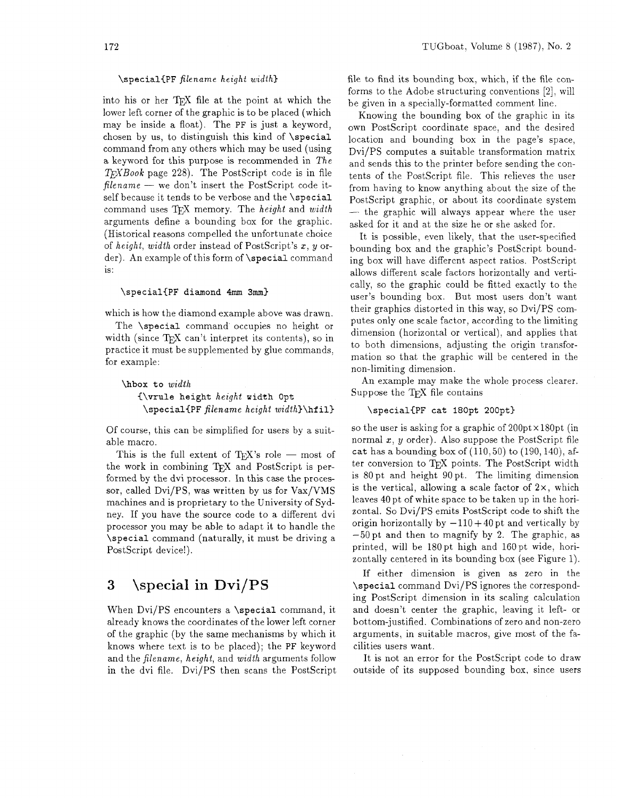## *\special(PF filename height width3*

into his or her TFX file at the point at which the lower left corner of the graphic is to be placed (which may be inside a float). The *PF* is just a keyword, chosen by us, to distinguish this kind of *\special*  command from any others which may be used (using a keyword for this purpose is recommended in *The WBook* page *228).* The PostScript code is in file *filename* — we don't insert the PostScript code itself because it tends to be verbose and the *\special*  command uses 7&X memory. The *height* and *width*  arguments define a bounding box for the graphic. (Historical reasons compelled the unfortunate choice of *height, width* order instead of PostScript's x, y order). An example of this form of *\special* command is :

### *\special{PF diamond 4mm 3mm)*

which is how the diamond example above was drawn.

The *\special* command' occupies no height or width (since  $T_F X$  can't interpret its contents), so in practice it must be supplemented by glue commands, for example:

```
\hbox to width 
C\vrule height height width Opt 
 \specialiPF filename height width)\hf ill
```
Of course, this can be simplified for users by a suitable macro.

This is the full extent of T<sub>E</sub>X's role  $-$  most of the work in combining T<sub>E</sub>X and PostScript is performed by the dvi processor. In this case the processor, called Dvi/PS, was written by us for Vax/VMS machines and is proprietary to the University of Sydney. If you have the source code to a different dvi processor you may be able to adapt it to handle the *\special* command (naturally, it must be driving a PostScript device!).

#### \special in Dvi/PS 3

When Dvi/PS encounters a *\special* command, it already knows the coordinates of the lower left corner of the graphic (by the same mechanisms by which it knows where text is to be placed); the *PF* keyword and the filename, *height,* and *width* arguments follow in the dvi file. Dvi/PS then scans the PostScript file to find its bounding box, which, if the file conforms to the Adobe structuring conventions *[2].* will be given in a specially-formatted comment line.

Knowing the bounding box of the graphic in its own PostScript coordinate space, and the desired location and bounding box in the page's space, Dvi/PS computes a suitable transformation matrix and sends this to the printer before sending the contents of the PostScript file. This relieves the user from having to know anything about the size of the PostScript graphic, or about its coordinate system from having to know anything about the size of the<br>PostScript graphic, or about its coordinate system<br>— the graphic will always appear where the user asked for it and at the size he or she asked for.

It is possible, even likely, that the user-specified bounding box and the graphic's PostScript bounding box will have different aspect ratios. PostScript allows different scale factors horizontally and vertically, so the graphic could be fitted exactly to the user's bounding box. But most users don't want their graphics distorted in this way, so Dvi/PS computes only one scale factor, according to the limiting dimension (horizontal or vertical), and applies that to both dimensions, adjusting the origin transformation so that the graphic will be centered in the non-limiting dimension.

An example may make the whole process clearer. Suppose the TFX file contains

## *\special{PF cat 180pt 200pt)*

so the user is asking for a graphic of  $200pt \times 180pt$  (in normal  $x, y$  order). Also suppose the PostScript file cat has a bounding box of  $(110,50)$  to  $(190,140)$ , after conversion to TEX points. The PostScript width is 80 pt and height 90 pt. The limiting dimension is the vertical, allowing a scale factor of  $2 \times$ , which leaves 40 pt of white space to be taken up in the horizontal. So Dvi/PS emits PostScript code to shift the origin horizontally by  $-110 + 40$  pt and vertically by -50 pt and then to magnify by 2. The graphic, as printed, will be 180pt high and 160pt wide, horizontally centered in its bounding box (see Figure 1).

If either dimension is given as zero in the *\special* command Dvi/PS ignores the corresponding PostScript dimension in its scaling calculation and doesn't center the graphic, leaving it left- or bottom-justified. Combinations of zero and non-zero arguments, in suitable macros, give most of the facilities users want.

It is not an error for the PostScript code to draw outside of its supposed bounding box, since users